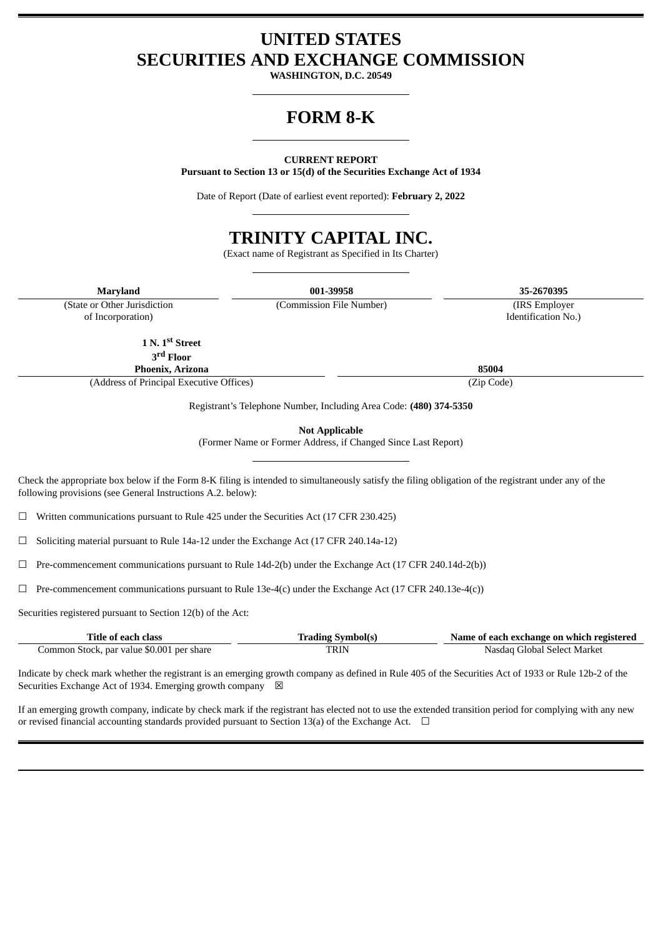# **UNITED STATES SECURITIES AND EXCHANGE COMMISSION**

**WASHINGTON, D.C. 20549**

# **FORM 8-K**

### **CURRENT REPORT**

**Pursuant to Section 13 or 15(d) of the Securities Exchange Act of 1934**

Date of Report (Date of earliest event reported): **February 2, 2022**

# **TRINITY CAPITAL INC.**

(Exact name of Registrant as Specified in Its Charter)

**Maryland 001-39958 35-2670395** (Commission File Number) (IRS Employer

(State or Other Jurisdiction of Incorporation)

**1 N. 1 st Street**

**3 rd Floor**

**Phoenix, Arizona 85004** (Address of Principal Executive Offices) (Zip Code)

Registrant's Telephone Number, Including Area Code: **(480) 374-5350**

**Not Applicable**

(Former Name or Former Address, if Changed Since Last Report)

Check the appropriate box below if the Form 8-K filing is intended to simultaneously satisfy the filing obligation of the registrant under any of the following provisions (see General Instructions A.2. below):

☐ Written communications pursuant to Rule 425 under the Securities Act (17 CFR 230.425)

☐ Soliciting material pursuant to Rule 14a-12 under the Exchange Act (17 CFR 240.14a-12)

 $\Box$  Pre-commencement communications pursuant to Rule 14d-2(b) under the Exchange Act (17 CFR 240.14d-2(b))

☐ Pre-commencement communications pursuant to Rule 13e-4(c) under the Exchange Act (17 CFR 240.13e-4(c))

Securities registered pursuant to Section 12(b) of the Act:

| Title of each class                       | <b>Trading Symbol(s)</b> | Name of each exchange on which registered |
|-------------------------------------------|--------------------------|-------------------------------------------|
| Common Stock, par value \$0.001 per share | TRIN                     | Nasdag Global Select Market               |

Indicate by check mark whether the registrant is an emerging growth company as defined in Rule 405 of the Securities Act of 1933 or Rule 12b-2 of the Securities Exchange Act of 1934. Emerging growth company  $\boxtimes$ 

If an emerging growth company, indicate by check mark if the registrant has elected not to use the extended transition period for complying with any new or revised financial accounting standards provided pursuant to Section 13(a) of the Exchange Act.  $\Box$ 

Identification No.)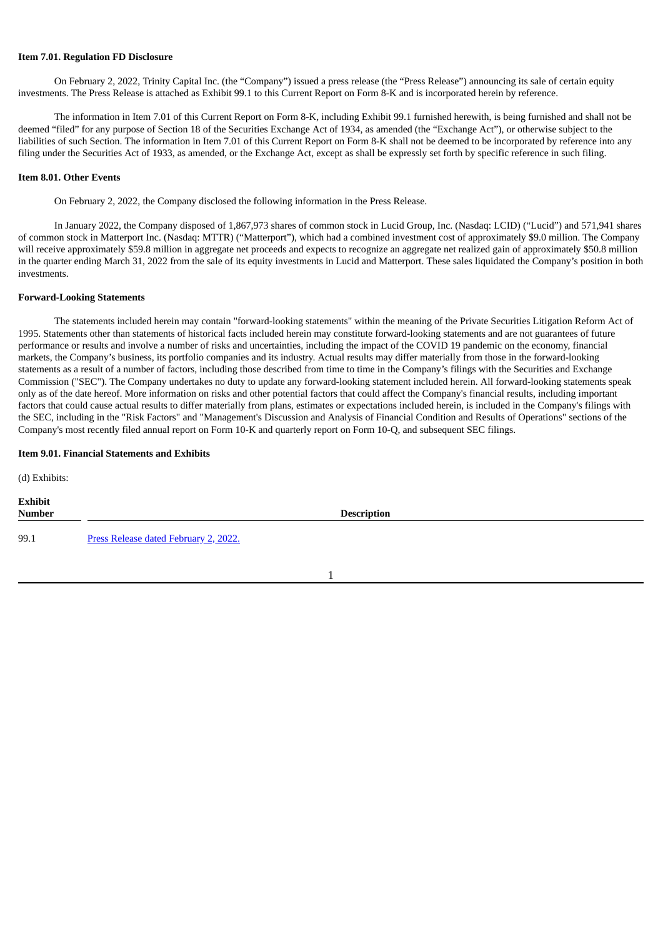#### **Item 7.01. Regulation FD Disclosure**

On February 2, 2022, Trinity Capital Inc. (the "Company") issued a press release (the "Press Release") announcing its sale of certain equity investments. The Press Release is attached as Exhibit 99.1 to this Current Report on Form 8-K and is incorporated herein by reference.

The information in Item 7.01 of this Current Report on Form 8-K, including Exhibit 99.1 furnished herewith, is being furnished and shall not be deemed "filed" for any purpose of Section 18 of the Securities Exchange Act of 1934, as amended (the "Exchange Act"), or otherwise subject to the liabilities of such Section. The information in Item 7.01 of this Current Report on Form 8-K shall not be deemed to be incorporated by reference into any filing under the Securities Act of 1933, as amended, or the Exchange Act, except as shall be expressly set forth by specific reference in such filing.

### **Item 8.01. Other Events**

On February 2, 2022, the Company disclosed the following information in the Press Release.

In January 2022, the Company disposed of 1,867,973 shares of common stock in Lucid Group, Inc. (Nasdaq: LCID) ("Lucid") and 571,941 shares of common stock in Matterport Inc. (Nasdaq: MTTR) ("Matterport"), which had a combined investment cost of approximately \$9.0 million. The Company will receive approximately \$59.8 million in aggregate net proceeds and expects to recognize an aggregate net realized gain of approximately \$50.8 million in the quarter ending March 31, 2022 from the sale of its equity investments in Lucid and Matterport. These sales liquidated the Company's position in both investments.

#### **Forward-Looking Statements**

The statements included herein may contain "forward-looking statements" within the meaning of the Private Securities Litigation Reform Act of 1995. Statements other than statements of historical facts included herein may constitute forward-looking statements and are not guarantees of future performance or results and involve a number of risks and uncertainties, including the impact of the COVID 19 pandemic on the economy, financial markets, the Company's business, its portfolio companies and its industry. Actual results may differ materially from those in the forward-looking statements as a result of a number of factors, including those described from time to time in the Company's filings with the Securities and Exchange Commission ("SEC"). The Company undertakes no duty to update any forward-looking statement included herein. All forward-looking statements speak only as of the date hereof. More information on risks and other potential factors that could affect the Company's financial results, including important factors that could cause actual results to differ materially from plans, estimates or expectations included herein, is included in the Company's filings with the SEC, including in the "Risk Factors" and "Management's Discussion and Analysis of Financial Condition and Results of Operations" sections of the Company's most recently filed annual report on Form 10-K and quarterly report on Form 10-Q, and subsequent SEC filings.

#### **Item 9.01. Financial Statements and Exhibits**

(d) Exhibits:

| <b>Exhibit</b><br><b>Number</b> | <b>Description</b>                    |
|---------------------------------|---------------------------------------|
| 99.1                            | Press Release dated February 2, 2022. |

## 1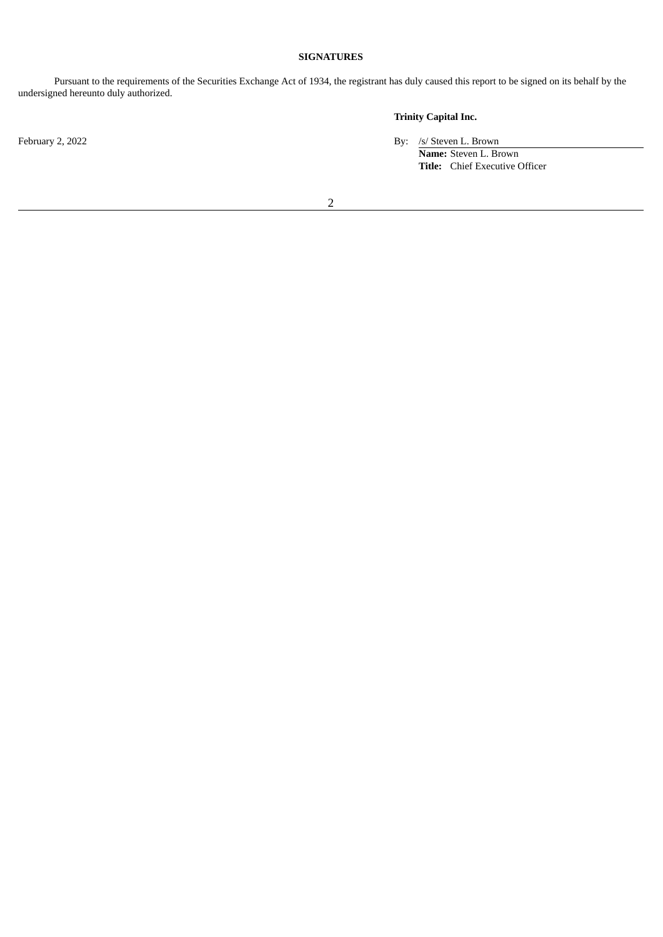## **SIGNATURES**

Pursuant to the requirements of the Securities Exchange Act of 1934, the registrant has duly caused this report to be signed on its behalf by the undersigned hereunto duly authorized.

## **Trinity Capital Inc.**

February 2, 2022 By: /s/ Steven L. Brown

**Name:** Steven L. Brown **Title:** Chief Executive Officer